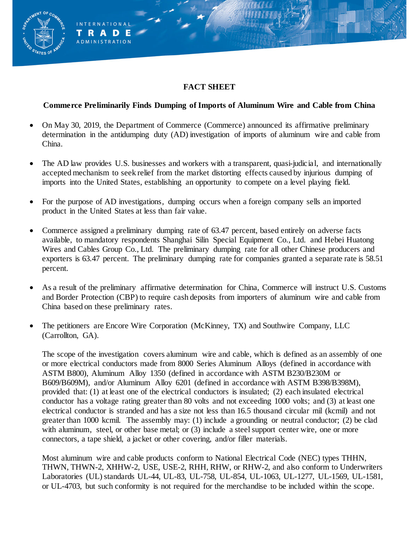# **FACT SHEET**

NATIONAL **RADE ADMINISTRATION** 

## **Commerce Preliminarily Finds Dumping of Imports of Aluminum Wire and Cable from China**

- On May 30, 2019, the Department of Commerce (Commerce) announced its affirmative preliminary determination in the antidumping duty (AD) investigation of imports of aluminum wire and cable from China.
- The AD law provides U.S. businesses and workers with a transparent, quasi-judicial, and internationally accepted mechanism to seek relief from the market distorting effects caused by injurious dumping of imports into the United States, establishing an opportunity to compete on a level playing field.
- For the purpose of AD investigations, dumping occurs when a foreign company sells an imported product in the United States at less than fair value.
- Commerce assigned a preliminary dumping rate of 63.47 percent, based entirely on adverse facts available, to mandatory respondents Shanghai Silin Special Equipment Co., Ltd. and Hebei Huatong Wires and Cables Group Co., Ltd. The preliminary dumping rate for all other Chinese producers and exporters is 63.47 percent. The preliminary dumping rate for companies granted a separate rate is 58.51 percent.
- As a result of the preliminary affirmative determination for China, Commerce will instruct U.S. Customs and Border Protection (CBP) to require cash deposits from importers of aluminum wire and cable from China based on these preliminary rates.
- The petitioners are Encore Wire Corporation (McKinney, TX) and Southwire Company, LLC (Carrollton, GA).

The scope of the investigation covers aluminum wire and cable, which is defined as an assembly of one or more electrical conductors made from 8000 Series Aluminum Alloys (defined in accordance with ASTM B800), Aluminum Alloy 1350 (defined in accordance with ASTM B230/B230M or B609/B609M), and/or Aluminum Alloy 6201 (defined in accordance with ASTM B398/B398M), provided that: (1) at least one of the electrical conductors is insulated; (2) each insulated electrical conductor has a voltage rating greater than 80 volts and not exceeding 1000 volts; and (3) at least one electrical conductor is stranded and has a size not less than 16.5 thousand circular mil (kcmil) and not greater than 1000 kcmil. The assembly may: (1) include a grounding or neutral conductor; (2) be clad with aluminum, steel, or other base metal; or (3) include a steel support center wire, one or more connectors, a tape shield, a jacket or other covering, and/or filler materials.

Most aluminum wire and cable products conform to National Electrical Code (NEC) types THHN, THWN, THWN-2, XHHW-2, USE, USE-2, RHH, RHW, or RHW-2, and also conform to Underwriters Laboratories (UL) standards UL-44, UL-83, UL-758, UL-854, UL-1063, UL-1277, UL-1569, UL-1581, or UL-4703, but such conformity is not required for the merchandise to be included within the scope.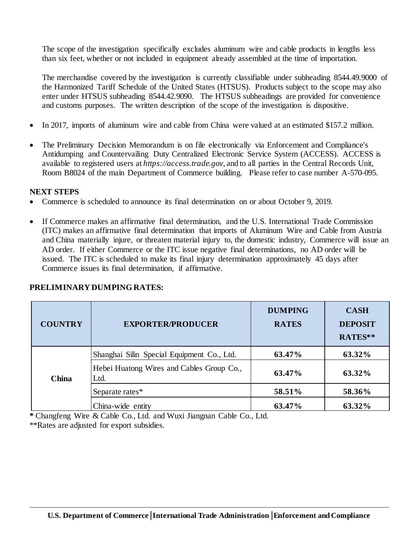The scope of the investigation specifically excludes aluminum wire and cable products in lengths less than six feet, whether or not included in equipment already assembled at the time of importation.

The merchandise covered by the investigation is currently classifiable under subheading 8544.49.9000 of the Harmonized Tariff Schedule of the United States (HTSUS). Products subject to the scope may also enter under HTSUS subheading 8544.42.9090. The HTSUS subheadings are provided for convenience and customs purposes. The written description of the scope of the investigation is dispositive.

- In 2017, imports of aluminum wire and cable from China were valued at an estimated \$157.2 million.
- The Preliminary Decision Memorandum is on file electronically via Enforcement and Compliance's Antidumping and Countervailing Duty Centralized Electronic Service System (ACCESS). ACCESS is available to registered users at *https://access.trade.gov*, and to all parties in the Central Records Unit, Room B8024 of the main Department of Commerce building. Please refer to case number A-570-095.

#### **NEXT STEPS**

- Commerce is scheduled to announce its final determination on or about October 9, 2019.
- If Commerce makes an affirmative final determination, and the U.S. International Trade Commission (ITC) makes an affirmative final determination that imports of Aluminum Wire and Cable from Austria and China materially injure, or threaten material injury to, the domestic industry, Commerce will issue an AD order. If either Commerce or the ITC issue negative final determinations, no AD order will be issued. The ITC is scheduled to make its final injury determination approximately 45 days after Commerce issues its final determination, if affirmative.

| <b>COUNTRY</b> | <b>EXPORTER/PRODUCER</b>                          | <b>DUMPING</b><br><b>RATES</b> | <b>CASH</b><br><b>DEPOSIT</b><br>RATES** |
|----------------|---------------------------------------------------|--------------------------------|------------------------------------------|
| <b>China</b>   | Shanghai Silin Special Equipment Co., Ltd.        | 63.47%                         | 63.32%                                   |
|                | Hebei Huatong Wires and Cables Group Co.,<br>Ltd. | 63.47%                         | 63.32%                                   |
|                | Separate rates*                                   | 58.51%                         | 58.36%                                   |
|                | China-wide entity                                 | 63.47%                         | 63.32%                                   |

## **PRELIMINARY DUMPING RATES:**

**\*** Changfeng Wire & Cable Co., Ltd. and Wuxi Jiangnan Cable Co., Ltd.

\*\*Rates are adjusted for export subsidies.